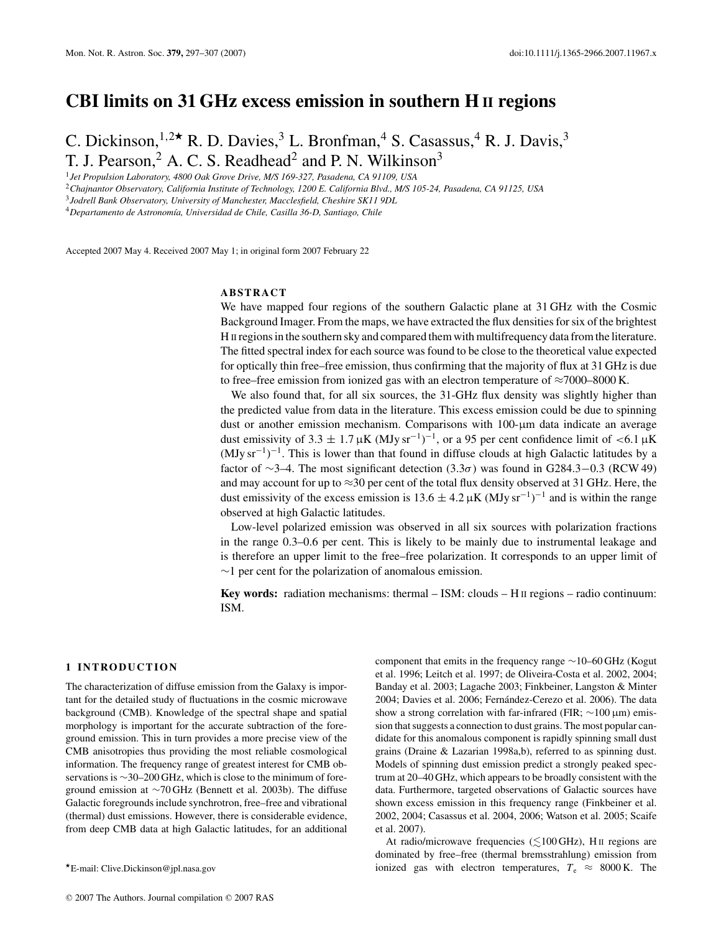# **CBI limits on 31 GHz excess emission in southern H II regions**

C. Dickinson,  $1,2\star$  R. D. Davies,  $3$  L. Bronfman,  $4$  S. Casassus,  $4$  R. J. Davis,  $3$ T. J. Pearson,<sup>2</sup> A. C. S. Readhead<sup>2</sup> and P. N. Wilkinson<sup>3</sup>

<sup>1</sup>*Jet Propulsion Laboratory, 4800 Oak Grove Drive, M/S 169-327, Pasadena, CA 91109, USA*

<sup>2</sup>*Chajnantor Observatory, California Institute of Technology, 1200 E. California Blvd., M/S 105-24, Pasadena, CA 91125, USA*

<sup>3</sup>*Jodrell Bank Observatory, University of Manchester, Macclesfield, Cheshire SK11 9DL*

<sup>4</sup> Departamento de Astronomía, Universidad de Chile, Casilla 36-D, Santiago, Chile

Accepted 2007 May 4. Received 2007 May 1; in original form 2007 February 22

# **ABSTRACT**

We have mapped four regions of the southern Galactic plane at 31 GHz with the Cosmic Background Imager. From the maps, we have extracted the flux densities for six of the brightest H II regions in the southern sky and compared them with multifrequency data from the literature. The fitted spectral index for each source was found to be close to the theoretical value expected for optically thin free–free emission, thus confirming that the majority of flux at 31 GHz is due to free–free emission from ionized gas with an electron temperature of  $\approx$ 7000–8000 K.

We also found that, for all six sources, the 31-GHz flux density was slightly higher than the predicted value from data in the literature. This excess emission could be due to spinning dust or another emission mechanism. Comparisons with 100-μm data indicate an average dust emissivity of 3.3  $\pm$  1.7  $\mu$ K (MJy sr<sup>-1</sup>)<sup>-1</sup>, or a 95 per cent confidence limit of <6.1  $\mu$ K  $(MJy\,sr^{-1})^{-1}$ . This is lower than that found in diffuse clouds at high Galactic latitudes by a factor of  $\sim$ 3–4. The most significant detection (3.3 $\sigma$ ) was found in G284.3–0.3 (RCW 49) and may account for up to  $\approx$ 30 per cent of the total flux density observed at 31 GHz. Here, the dust emissivity of the excess emission is  $13.6 \pm 4.2 \,\mu\text{K}$  (MJy sr<sup>-1</sup>)<sup>-1</sup> and is within the range observed at high Galactic latitudes.

Low-level polarized emission was observed in all six sources with polarization fractions in the range 0.3–0.6 per cent. This is likely to be mainly due to instrumental leakage and is therefore an upper limit to the free–free polarization. It corresponds to an upper limit of  $\sim$ 1 per cent for the polarization of anomalous emission.

**Key words:** radiation mechanisms: thermal – ISM: clouds – H II regions – radio continuum: ISM.

# **1 INTRODUCTION**

The characterization of diffuse emission from the Galaxy is important for the detailed study of fluctuations in the cosmic microwave background (CMB). Knowledge of the spectral shape and spatial morphology is important for the accurate subtraction of the foreground emission. This in turn provides a more precise view of the CMB anisotropies thus providing the most reliable cosmological information. The frequency range of greatest interest for CMB observations is ∼30–200 GHz, which is close to the minimum of foreground emission at ∼70 GHz (Bennett et al. 2003b). The diffuse Galactic foregrounds include synchrotron, free–free and vibrational (thermal) dust emissions. However, there is considerable evidence, from deep CMB data at high Galactic latitudes, for an additional

component that emits in the frequency range ∼10–60 GHz (Kogut et al. 1996; Leitch et al. 1997; de Oliveira-Costa et al. 2002, 2004; Banday et al. 2003; Lagache 2003; Finkbeiner, Langston & Minter 2004; Davies et al. 2006; Fernández-Cerezo et al. 2006). The data show a strong correlation with far-infrared (FIR; ∼100 μm) emission that suggests a connection to dust grains. The most popular candidate for this anomalous component is rapidly spinning small dust grains (Draine & Lazarian 1998a,b), referred to as spinning dust. Models of spinning dust emission predict a strongly peaked spectrum at 20–40 GHz, which appears to be broadly consistent with the data. Furthermore, targeted observations of Galactic sources have shown excess emission in this frequency range (Finkbeiner et al. 2002, 2004; Casassus et al. 2004, 2006; Watson et al. 2005; Scaife et al. 2007).

At radio/microwave frequencies ( $\lesssim$ 100 GHz), H II regions are dominated by free–free (thermal bremsstrahlung) emission from ionized gas with electron temperatures,  $T_e \approx 8000 \text{ K}$ . The

<sup>-</sup>E-mail: Clive.Dickinson@jpl.nasa.gov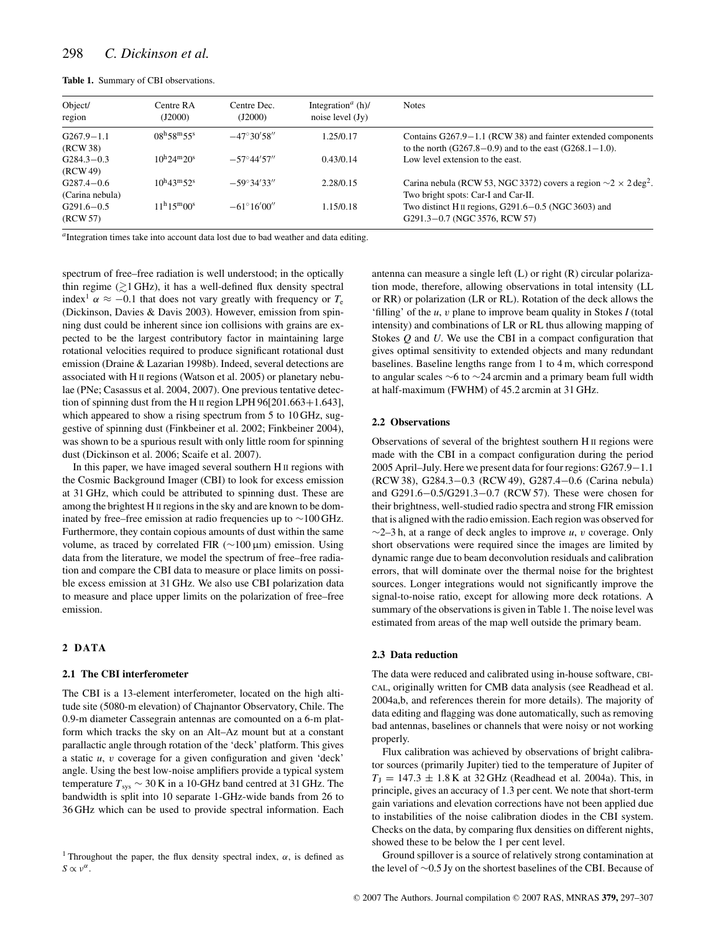**Table 1.** Summary of CBI observations.

| Object/<br>region                 | Centre RA<br>(J2000)             | Centre Dec.<br>(J2000) | Integration <sup><i>a</i></sup> (h)/<br>noise level $(Jy)$ | <b>Notes</b>                                                                                                                   |
|-----------------------------------|----------------------------------|------------------------|------------------------------------------------------------|--------------------------------------------------------------------------------------------------------------------------------|
| $G267.9 - 1.1$<br>(RCW 38)        | $08^{\rm h}58^{\rm m}55^{\rm s}$ | $-47^{\circ}30'58''$   | 1.25/0.17                                                  | Contains $G267.9-1.1$ (RCW 38) and fainter extended components<br>to the north $(G267.8-0.9)$ and to the east $(G268.1-1.0)$ . |
| $G284.3 - 0.3$<br>(RCW49)         | $10^{h}24^{m}20^{s}$             | $-57^{\circ}44'57''$   | 0.43/0.14                                                  | Low level extension to the east.                                                                                               |
| $G287.4 - 0.6$<br>(Carina nebula) | $10^{\rm h}43^{\rm m}52^{\rm s}$ | $-59^{\circ}34'33''$   | 2.28/0.15                                                  | Carina nebula (RCW 53, NGC 3372) covers a region $\sim$ 2 $\times$ 2 deg <sup>2</sup> .<br>Two bright spots: Car-I and Car-II. |
| $G291.6 - 0.5$<br>(RCW 57)        | $11^{\rm h}15^{\rm m}00^{\rm s}$ | $-61^{\circ}16'00''$   | 1.15/0.18                                                  | Two distinct H <sub>II</sub> regions, $G291.6-0.5$ (NGC 3603) and<br>G291.3-0.7 (NGC 3576, RCW 57)                             |

*<sup>a</sup>*Integration times take into account data lost due to bad weather and data editing.

spectrum of free–free radiation is well understood; in the optically thin regime  $(2)$  GHz), it has a well-defined flux density spectral index<sup>1</sup>  $\alpha \approx -0.1$  that does not vary greatly with frequency or  $T_e$ (Dickinson, Davies & Davis 2003). However, emission from spinning dust could be inherent since ion collisions with grains are expected to be the largest contributory factor in maintaining large rotational velocities required to produce significant rotational dust emission (Draine & Lazarian 1998b). Indeed, several detections are associated with H II regions (Watson et al. 2005) or planetary nebulae (PNe; Casassus et al. 2004, 2007). One previous tentative detection of spinning dust from the H II region LPH 96[201.663+1.643], which appeared to show a rising spectrum from 5 to 10 GHz, suggestive of spinning dust (Finkbeiner et al. 2002; Finkbeiner 2004), was shown to be a spurious result with only little room for spinning dust (Dickinson et al. 2006; Scaife et al. 2007).

In this paper, we have imaged several southern H II regions with the Cosmic Background Imager (CBI) to look for excess emission at 31 GHz, which could be attributed to spinning dust. These are among the brightest H II regions in the sky and are known to be dominated by free–free emission at radio frequencies up to ∼100 GHz. Furthermore, they contain copious amounts of dust within the same volume, as traced by correlated FIR ( $\sim$ 100 μm) emission. Using data from the literature, we model the spectrum of free–free radiation and compare the CBI data to measure or place limits on possible excess emission at 31 GHz. We also use CBI polarization data to measure and place upper limits on the polarization of free–free emission.

# **2 DATA**

### **2.1 The CBI interferometer**

The CBI is a 13-element interferometer, located on the high altitude site (5080-m elevation) of Chajnantor Observatory, Chile. The 0.9-m diameter Cassegrain antennas are comounted on a 6-m platform which tracks the sky on an Alt–Az mount but at a constant parallactic angle through rotation of the 'deck' platform. This gives a static *u*, v coverage for a given configuration and given 'deck' angle. Using the best low-noise amplifiers provide a typical system temperature  $T_{sys} \sim 30 \text{ K}$  in a 10-GHz band centred at 31 GHz. The bandwidth is split into 10 separate 1-GHz-wide bands from 26 to 36 GHz which can be used to provide spectral information. Each

antenna can measure a single left (L) or right (R) circular polarization mode, therefore, allowing observations in total intensity (LL or RR) or polarization (LR or RL). Rotation of the deck allows the 'filling' of the *u*, v plane to improve beam quality in Stokes *I* (total intensity) and combinations of LR or RL thus allowing mapping of Stokes *Q* and *U*. We use the CBI in a compact configuration that gives optimal sensitivity to extended objects and many redundant baselines. Baseline lengths range from 1 to 4 m, which correspond to angular scales ∼6 to ∼24 arcmin and a primary beam full width at half-maximum (FWHM) of 45.2 arcmin at 31 GHz.

## **2.2 Observations**

Observations of several of the brightest southern H II regions were made with the CBI in a compact configuration during the period 2005 April–July. Here we present data for four regions: G267.9−1.1 (RCW 38), G284.3−0.3 (RCW 49), G287.4−0.6 (Carina nebula) and G291.6−0.5/G291.3−0.7 (RCW 57). These were chosen for their brightness, well-studied radio spectra and strong FIR emission that is aligned with the radio emission. Each region was observed for ∼2–3 h, at a range of deck angles to improve *u*, v coverage. Only short observations were required since the images are limited by dynamic range due to beam deconvolution residuals and calibration errors, that will dominate over the thermal noise for the brightest sources. Longer integrations would not significantly improve the signal-to-noise ratio, except for allowing more deck rotations. A summary of the observations is given in Table 1. The noise level was estimated from areas of the map well outside the primary beam.

#### **2.3 Data reduction**

The data were reduced and calibrated using in-house software, CBI-CAL, originally written for CMB data analysis (see Readhead et al. 2004a,b, and references therein for more details). The majority of data editing and flagging was done automatically, such as removing bad antennas, baselines or channels that were noisy or not working properly.

Flux calibration was achieved by observations of bright calibrator sources (primarily Jupiter) tied to the temperature of Jupiter of  $T_J = 147.3 \pm 1.8 \text{ K}$  at 32 GHz (Readhead et al. 2004a). This, in principle, gives an accuracy of 1.3 per cent. We note that short-term gain variations and elevation corrections have not been applied due to instabilities of the noise calibration diodes in the CBI system. Checks on the data, by comparing flux densities on different nights, showed these to be below the 1 per cent level.

Ground spillover is a source of relatively strong contamination at the level of ∼0.5 Jy on the shortest baselines of the CBI. Because of

<sup>&</sup>lt;sup>1</sup> Throughout the paper, the flux density spectral index,  $\alpha$ , is defined as  $S \propto v^{\alpha}$ .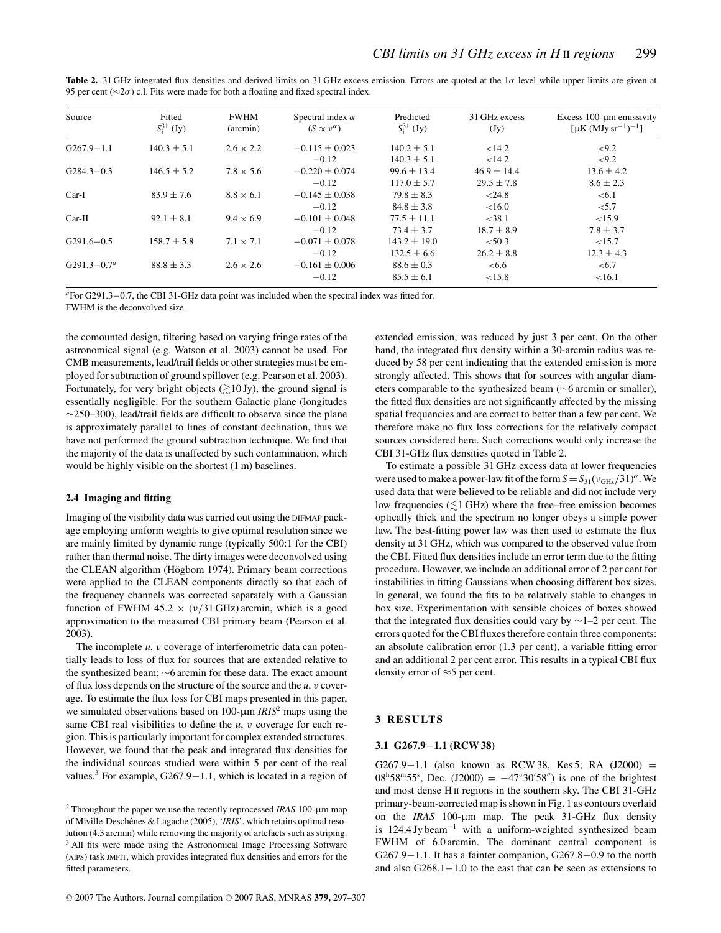| Source          | Fitted<br>$S^{31}_i$ (Jy) | <b>FWHM</b><br>(arcmin) | Spectral index $\alpha$<br>$(S \propto v^{\alpha})$ | Predicted<br>$S^{31}_i$ (Jy) | 31 GHz excess<br>(Jy) | Excess $100$ - $\mu$ m emissivity<br>[ $\mu$ K (MJy sr <sup>-1</sup> ) <sup>-1</sup> ] |
|-----------------|---------------------------|-------------------------|-----------------------------------------------------|------------------------------|-----------------------|----------------------------------------------------------------------------------------|
| $G267.9 - 1.1$  | $140.3 \pm 5.1$           | $2.6 \times 2.2$        | $-0.115 \pm 0.023$                                  | $140.2 \pm 5.1$              | < 14.2                | ${<}9.2$                                                                               |
|                 |                           |                         | $-0.12$                                             | $140.3 \pm 5.1$              | 14.2                  | ${<}9.2$                                                                               |
| $G284.3 - 0.3$  | $146.5 \pm 5.2$           | $7.8 \times 5.6$        | $-0.220 + 0.074$                                    | $99.6 \pm 13.4$              | $46.9 \pm 14.4$       | $13.6 \pm 4.2$                                                                         |
|                 |                           |                         | $-0.12$                                             | $117.0 \pm 5.7$              | $29.5 \pm 7.8$        | $8.6 \pm 2.3$                                                                          |
| $Car-I$         | $83.9 \pm 7.6$            | $8.8 \times 6.1$        | $-0.145 \pm 0.038$                                  | $79.8 \pm 8.3$               | < 24.8                | < 6.1                                                                                  |
|                 |                           |                         | $-0.12$                                             | $84.8 \pm 3.8$               | < 16.0                | < 5.7                                                                                  |
| $Car-II$        | $92.1 \pm 8.1$            | $9.4 \times 6.9$        | $-0.101 + 0.048$                                    | $77.5 \pm 11.1$              | < 38.1                | < 15.9                                                                                 |
|                 |                           |                         | $-0.12$                                             | $73.4 \pm 3.7$               | $18.7 \pm 8.9$        | $7.8 \pm 3.7$                                                                          |
| $G291.6 - 0.5$  | $158.7 \pm 5.8$           | $7.1 \times 7.1$        | $-0.071 + 0.078$                                    | $143.2 \pm 19.0$             | < 50.3                | < 15.7                                                                                 |
|                 |                           |                         | $-0.12$                                             | $132.5 \pm 6.6$              | $26.2 \pm 8.8$        | $12.3 \pm 4.3$                                                                         |
| $G291.3 - 0.7a$ | $88.8 \pm 3.3$            | $2.6 \times 2.6$        | $-0.161 + 0.006$                                    | $88.6 \pm 0.3$               | <6.6                  | <6.7                                                                                   |
|                 |                           |                         | $-0.12$                                             | $85.5 \pm 6.1$               | < 15.8                | < 16.1                                                                                 |

**Table 2.** 31 GHz integrated flux densities and derived limits on 31 GHz excess emission. Errors are quoted at the  $1\sigma$  level while upper limits are given at 95 per cent ( $\approx$ 2 $\sigma$ ) c.l. Fits were made for both a floating and fixed spectral index.

*<sup>a</sup>*For G291.3−0.7, the CBI 31-GHz data point was included when the spectral index was fitted for. FWHM is the deconvolved size.

the comounted design, filtering based on varying fringe rates of the astronomical signal (e.g. Watson et al. 2003) cannot be used. For CMB measurements, lead/trail fields or other strategies must be employed for subtraction of ground spillover (e.g. Pearson et al. 2003). Fortunately, for very bright objects  $\left(\geq 10 \text{ Jy}\right)$ , the ground signal is essentially negligible. For the southern Galactic plane (longitudes ∼250–300), lead/trail fields are difficult to observe since the plane is approximately parallel to lines of constant declination, thus we have not performed the ground subtraction technique. We find that the majority of the data is unaffected by such contamination, which would be highly visible on the shortest (1 m) baselines.

# **2.4 Imaging and fitting**

Imaging of the visibility data was carried out using the DIFMAP package employing uniform weights to give optimal resolution since we are mainly limited by dynamic range (typically 500:1 for the CBI) rather than thermal noise. The dirty images were deconvolved using the CLEAN algorithm (Högbom 1974). Primary beam corrections were applied to the CLEAN components directly so that each of the frequency channels was corrected separately with a Gaussian function of FWHM 45.2  $\times$  ( $\nu$ /31 GHz) arcmin, which is a good approximation to the measured CBI primary beam (Pearson et al. 2003).

The incomplete *u*, *v* coverage of interferometric data can potentially leads to loss of flux for sources that are extended relative to the synthesized beam; ∼6 arcmin for these data. The exact amount of flux loss depends on the structure of the source and the *u*, v coverage. To estimate the flux loss for CBI maps presented in this paper, we simulated observations based on 100-μm *IRIS*<sup>2</sup> maps using the same CBI real visibilities to define the *u*, *v* coverage for each region. This is particularly important for complex extended structures. However, we found that the peak and integrated flux densities for the individual sources studied were within 5 per cent of the real values.<sup>3</sup> For example, G267.9−1.1, which is located in a region of extended emission, was reduced by just 3 per cent. On the other hand, the integrated flux density within a 30-arcmin radius was reduced by 58 per cent indicating that the extended emission is more strongly affected. This shows that for sources with angular diameters comparable to the synthesized beam (∼6 arcmin or smaller), the fitted flux densities are not significantly affected by the missing spatial frequencies and are correct to better than a few per cent. We therefore make no flux loss corrections for the relatively compact sources considered here. Such corrections would only increase the CBI 31-GHz flux densities quoted in Table 2.

To estimate a possible 31 GHz excess data at lower frequencies were used to make a power-law fit of the form  $S = S_{31}(v_{\text{GHz}}/31)^{\alpha}$ . We used data that were believed to be reliable and did not include very low frequencies  $(\lesssim 1 \text{ GHz})$  where the free–free emission becomes optically thick and the spectrum no longer obeys a simple power law. The best-fitting power law was then used to estimate the flux density at 31 GHz, which was compared to the observed value from the CBI. Fitted flux densities include an error term due to the fitting procedure. However, we include an additional error of 2 per cent for instabilities in fitting Gaussians when choosing different box sizes. In general, we found the fits to be relatively stable to changes in box size. Experimentation with sensible choices of boxes showed that the integrated flux densities could vary by ∼1–2 per cent. The errors quoted for the CBI fluxes therefore contain three components: an absolute calibration error (1.3 per cent), a variable fitting error and an additional 2 per cent error. This results in a typical CBI flux density error of ≈5 per cent.

# **3 RESULTS**

## **3.1 G267.9**−**1.1 (RCW 38)**

G267.9−1.1 (also known as RCW 38, Kes 5; RA (J2000) =  $08^{\text{h}}58^{\text{m}}55^{\text{s}}$ , Dec. (J2000) =  $-47^{\circ}30'58''$ ) is one of the brightest and most dense H II regions in the southern sky. The CBI 31-GHz primary-beam-corrected map is shown in Fig. 1 as contours overlaid on the *IRAS* 100-μm map. The peak 31-GHz flux density is 124.4 Jy beam−<sup>1</sup> with a uniform-weighted synthesized beam FWHM of 6.0 arcmin. The dominant central component is G267.9−1.1. It has a fainter companion, G267.8−0.9 to the north and also G268.1−1.0 to the east that can be seen as extensions to

<sup>2</sup> Throughout the paper we use the recently reprocessed *IRAS* 100-μm map of Miville-Deschênes & Lagache (2005), '*IRIS*', which retains optimal resolution (4.3 arcmin) while removing the majority of artefacts such as striping. <sup>3</sup> All fits were made using the Astronomical Image Processing Software (AIPS) task JMFIT, which provides integrated flux densities and errors for the fitted parameters.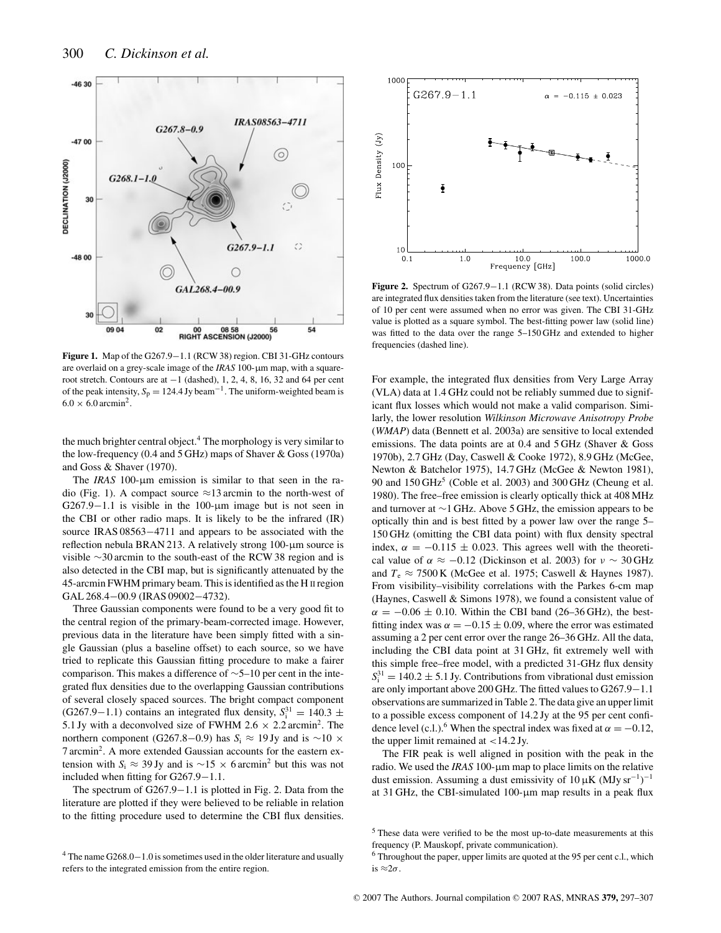

**Figure 1.** Map of the G267.9−1.1 (RCW 38) region. CBI 31-GHz contours are overlaid on a grey-scale image of the *IRAS* 100-μm map, with a squareroot stretch. Contours are at  $-1$  (dashed), 1, 2, 4, 8, 16, 32 and 64 per cent of the peak intensity,  $S_p = 124.4$  Jy beam<sup>-1</sup>. The uniform-weighted beam is  $6.0 \times 6.0$  arcmin<sup>2</sup>.

the much brighter central object.<sup>4</sup> The morphology is very similar to the low-frequency (0.4 and 5 GHz) maps of Shaver & Goss (1970a) and Goss & Shaver (1970).

The *IRAS* 100-μm emission is similar to that seen in the radio (Fig. 1). A compact source  $\approx$ 13 arcmin to the north-west of G267.9−1.1 is visible in the 100-μm image but is not seen in the CBI or other radio maps. It is likely to be the infrared (IR) source IRAS 08563–4711 and appears to be associated with the reflection nebula BRAN 213. A relatively strong 100-μm source is visible ∼30 arcmin to the south-east of the RCW 38 region and is also detected in the CBI map, but is significantly attenuated by the 45-arcmin FWHM primary beam. This is identified as the H II region GAL 268.4−00.9 (IRAS 09002−4732).

Three Gaussian components were found to be a very good fit to the central region of the primary-beam-corrected image. However, previous data in the literature have been simply fitted with a single Gaussian (plus a baseline offset) to each source, so we have tried to replicate this Gaussian fitting procedure to make a fairer comparison. This makes a difference of ∼5–10 per cent in the integrated flux densities due to the overlapping Gaussian contributions of several closely spaced sources. The bright compact component  $(G267.9-1.1)$  contains an integrated flux density,  $S_i^{31} = 140.3 \pm 140.3$ 5.1 Jy with a deconvolved size of FWHM 2.6  $\times$  2.2 arcmin<sup>2</sup>. The northern component (G267.8–0.9) has  $S_i \approx 19$  Jy and is ~10 × 7 arcmin2. A more extended Gaussian accounts for the eastern extension with *S*<sub>i</sub> ≈ 39 Jy and is ~15 × 6 arcmin<sup>2</sup> but this was not included when fitting for G267.9−1.1.

The spectrum of G267.9−1.1 is plotted in Fig. 2. Data from the literature are plotted if they were believed to be reliable in relation to the fitting procedure used to determine the CBI flux densities.





**Figure 2.** Spectrum of G267.9−1.1 (RCW 38). Data points (solid circles) are integrated flux densities taken from the literature (see text). Uncertainties of 10 per cent were assumed when no error was given. The CBI 31-GHz value is plotted as a square symbol. The best-fitting power law (solid line) was fitted to the data over the range 5–150 GHz and extended to higher frequencies (dashed line).

For example, the integrated flux densities from Very Large Array (VLA) data at 1.4 GHz could not be reliably summed due to significant flux losses which would not make a valid comparison. Similarly, the lower resolution *Wilkinson Microwave Anisotropy Probe* (*WMAP*) data (Bennett et al. 2003a) are sensitive to local extended emissions. The data points are at 0.4 and 5 GHz (Shaver & Goss 1970b), 2.7 GHz (Day, Caswell & Cooke 1972), 8.9 GHz (McGee, Newton & Batchelor 1975), 14.7 GHz (McGee & Newton 1981), 90 and  $150 \text{ GHz}^5$  (Coble et al. 2003) and 300 GHz (Cheung et al. 1980). The free–free emission is clearly optically thick at 408 MHz and turnover at ∼1 GHz. Above 5 GHz, the emission appears to be optically thin and is best fitted by a power law over the range 5– 150 GHz (omitting the CBI data point) with flux density spectral index,  $\alpha = -0.115 \pm 0.023$ . This agrees well with the theoretical value of  $\alpha \approx -0.12$  (Dickinson et al. 2003) for  $\nu \sim 30 \text{ GHz}$ and  $T_e \approx 7500 \text{ K}$  (McGee et al. 1975; Caswell & Haynes 1987). From visibility–visibility correlations with the Parkes 6-cm map (Haynes, Caswell & Simons 1978), we found a consistent value of  $\alpha = -0.06 \pm 0.10$ . Within the CBI band (26–36 GHz), the bestfitting index was  $\alpha = -0.15 \pm 0.09$ , where the error was estimated assuming a 2 per cent error over the range 26–36 GHz. All the data, including the CBI data point at 31 GHz, fit extremely well with this simple free–free model, with a predicted 31-GHz flux density  $S_i^{31} = 140.2 \pm 5.1$  Jy. Contributions from vibrational dust emission are only important above 200 GHz. The fitted values to G267.9−1.1 observations are summarized in Table 2. The data give an upper limit to a possible excess component of 14.2 Jy at the 95 per cent confidence level (c.l.).<sup>6</sup> When the spectral index was fixed at  $\alpha = -0.12$ , the upper limit remained at  $<$  14.2 Jy.

The FIR peak is well aligned in position with the peak in the radio. We used the *IRAS* 100-μm map to place limits on the relative dust emission. Assuming a dust emissivity of  $10 \mu K (MJy sr^{-1})^{-1}$ at 31 GHz, the CBI-simulated 100-μm map results in a peak flux

<sup>5</sup> These data were verified to be the most up-to-date measurements at this frequency (P. Mauskopf, private communication).

<sup>6</sup> Throughout the paper, upper limits are quoted at the 95 per cent c.l., which is  $\approx 2\sigma$ .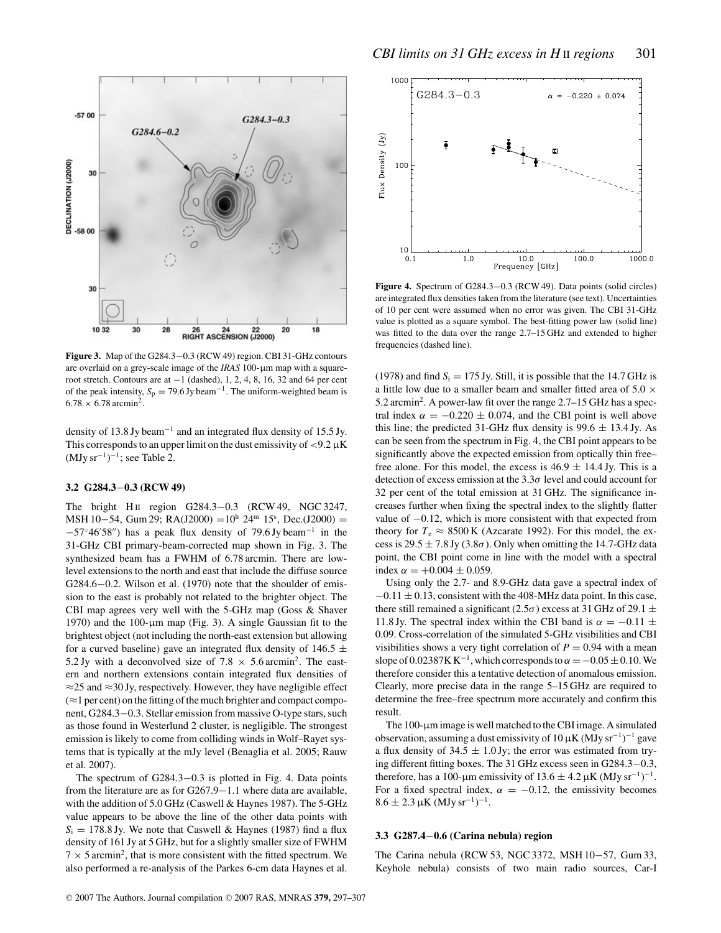

**Figure 3.** Map of the G284.3−0.3 (RCW 49) region. CBI 31-GHz contours are overlaid on a grey-scale image of the *IRAS* 100-μm map with a squareroot stretch. Contours are at −1 (dashed), 1, 2, 4, 8, 16, 32 and 64 per cent of the peak intensity,  $S_p = 79.6$  Jy beam<sup>-1</sup>. The uniform-weighted beam is  $6.78 \times 6.78$  arcmin<sup>2</sup>.

density of 13.8 Jy beam−<sup>1</sup> and an integrated flux density of 15.5 Jy. This corresponds to an upper limit on the dust emissivity of  $\langle 9.2 \mu K \rangle$  $(MJy sr^{-1})^{-1}$ ; see Table 2.

## **3.2 G284.3**−**0.3 (RCW 49)**

The bright H<sub>II</sub> region G284.3–0.3 (RCW 49, NGC 3247, MSH 10−54, Gum 29; RA(J2000) =10<sup>h</sup> 24<sup>m</sup> 15<sup>s</sup>, Dec.(J2000) =  $-57°46'58''$ ) has a peak flux density of 79.6 Jy beam<sup>-1</sup> in the 31-GHz CBI primary-beam-corrected map shown in Fig. 3. The synthesized beam has a FWHM of 6.78 arcmin. There are lowlevel extensions to the north and east that include the diffuse source G284.6−0.2. Wilson et al. (1970) note that the shoulder of emission to the east is probably not related to the brighter object. The CBI map agrees very well with the 5-GHz map (Goss & Shaver 1970) and the 100-μm map (Fig. 3). A single Gaussian fit to the brightest object (not including the north-east extension but allowing for a curved baseline) gave an integrated flux density of 146.5  $\pm$ 5.2 Jy with a deconvolved size of 7.8  $\times$  5.6 arcmin<sup>2</sup>. The eastern and northern extensions contain integrated flux densities of ≈25 and ≈30 Jy, respectively. However, they have negligible effect  $(\approx 1$  per cent) on the fitting of the much brighter and compact component, G284.3−0.3. Stellar emission from massive O-type stars, such as those found in Westerlund 2 cluster, is negligible. The strongest emission is likely to come from colliding winds in Wolf–Rayet systems that is typically at the mJy level (Benaglia et al. 2005; Rauw et al. 2007).

The spectrum of G284.3−0.3 is plotted in Fig. 4. Data points from the literature are as for G267.9−1.1 where data are available, with the addition of 5.0 GHz (Caswell & Haynes 1987). The 5-GHz value appears to be above the line of the other data points with  $S_i = 178.8$  Jy. We note that Caswell & Haynes (1987) find a flux density of 161 Jy at 5 GHz, but for a slightly smaller size of FWHM  $7 \times 5$  arcmin<sup>2</sup>, that is more consistent with the fitted spectrum. We also performed a re-analysis of the Parkes 6-cm data Haynes et al.



**Figure 4.** Spectrum of G284.3−0.3 (RCW 49). Data points (solid circles) are integrated flux densities taken from the literature (see text). Uncertainties of 10 per cent were assumed when no error was given. The CBI 31-GHz value is plotted as a square symbol. The best-fitting power law (solid line) was fitted to the data over the range 2.7–15 GHz and extended to higher frequencies (dashed line).

(1978) and find  $S_i = 175$  Jy. Still, it is possible that the 14.7 GHz is a little low due to a smaller beam and smaller fitted area of 5.0  $\times$ 5.2 arcmin2. A power-law fit over the range 2.7–15 GHz has a spectral index  $\alpha = -0.220 \pm 0.074$ , and the CBI point is well above this line; the predicted 31-GHz flux density is  $99.6 \pm 13.4$  Jy. As can be seen from the spectrum in Fig. 4, the CBI point appears to be significantly above the expected emission from optically thin free– free alone. For this model, the excess is  $46.9 \pm 14.4$  Jy. This is a detection of excess emission at the  $3.3\sigma$  level and could account for 32 per cent of the total emission at 31 GHz. The significance increases further when fixing the spectral index to the slightly flatter value of −0.12, which is more consistent with that expected from theory for  $T_e \approx 8500 \text{ K}$  (Azcarate 1992). For this model, the excess is 29.5  $\pm$  7.8 Jy (3.8 $\sigma$ ). Only when omitting the 14.7-GHz data point, the CBI point come in line with the model with a spectral index  $\alpha = +0.004 \pm 0.059$ .

Using only the 2.7- and 8.9-GHz data gave a spectral index of  $-0.11 \pm 0.13$ , consistent with the 408-MHz data point. In this case, there still remained a significant (2.5 $\sigma$ ) excess at 31 GHz of 29.1  $\pm$ 11.8 Jy. The spectral index within the CBI band is  $\alpha = -0.11 \pm$ 0.09. Cross-correlation of the simulated 5-GHz visibilities and CBI visibilities shows a very tight correlation of  $P = 0.94$  with a mean slope of 0.02387K K<sup>-1</sup>, which corresponds to  $\alpha = -0.05 \pm 0.10$ . We therefore consider this a tentative detection of anomalous emission. Clearly, more precise data in the range 5–15 GHz are required to determine the free–free spectrum more accurately and confirm this result.

The 100-μm image is well matched to the CBI image. A simulated observation, assuming a dust emissivity of 10  $\mu$ K (MJy sr<sup>-1</sup>)<sup>-1</sup> gave a flux density of  $34.5 \pm 1.0$  Jy; the error was estimated from trying different fitting boxes. The 31 GHz excess seen in G284.3−0.3, therefore, has a 100-µm emissivity of  $13.6 \pm 4.2 \,\mu\text{K}$  (MJy sr<sup>-1</sup>)<sup>-1</sup>. For a fixed spectral index,  $\alpha = -0.12$ , the emissivity becomes  $8.6 \pm 2.3 \,\mu K \,(MJy \, sr^{-1})^{-1}.$ 

## **3.3 G287.4**−**0.6 (Carina nebula) region**

The Carina nebula (RCW 53, NGC 3372, MSH 10−57, Gum 33, Keyhole nebula) consists of two main radio sources, Car-I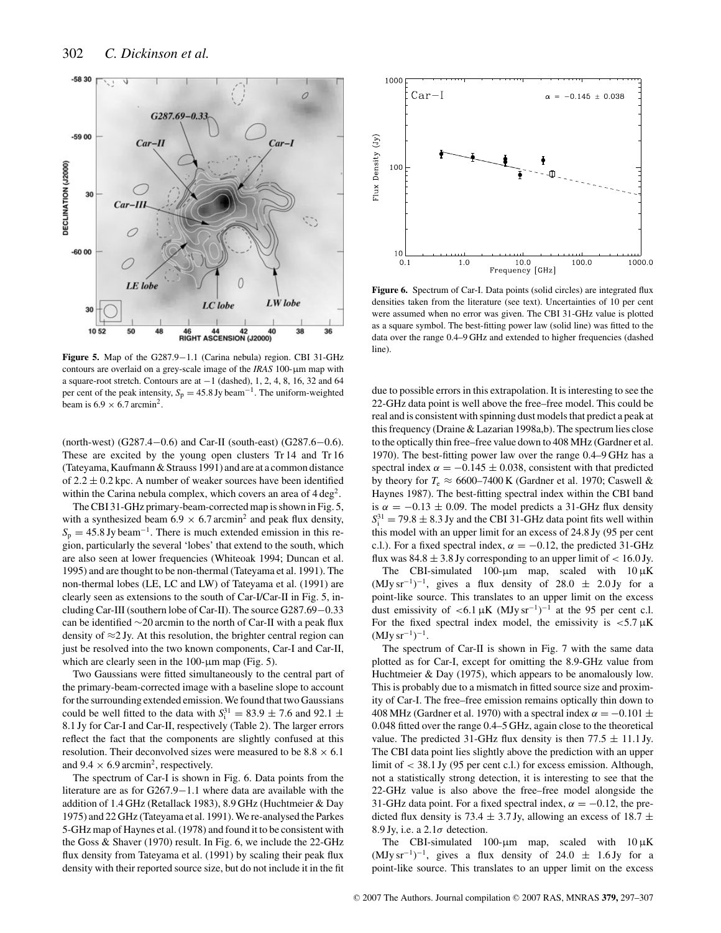

**Figure 5.** Map of the G287.9−1.1 (Carina nebula) region. CBI 31-GHz contours are overlaid on a grey-scale image of the *IRAS* 100-μm map with a square-root stretch. Contours are at −1 (dashed), 1, 2, 4, 8, 16, 32 and 64 per cent of the peak intensity,  $S_p = 45.8$  Jy beam<sup>-1</sup>. The uniform-weighted beam is  $6.9 \times 6.7$  arcmin<sup>2</sup>.

(north-west) (G287.4−0.6) and Car-II (south-east) (G287.6−0.6). These are excited by the young open clusters Tr 14 and Tr 16 (Tateyama, Kaufmann & Strauss 1991) and are at a common distance of  $2.2 \pm 0.2$  kpc. A number of weaker sources have been identified within the Carina nebula complex, which covers an area of  $4 \text{ deg}^2$ .

The CBI 31-GHz primary-beam-corrected map is shown in Fig. 5, with a synthesized beam 6.9  $\times$  6.7 arcmin<sup>2</sup> and peak flux density,  $S_p = 45.8$  Jy beam<sup>-1</sup>. There is much extended emission in this region, particularly the several 'lobes' that extend to the south, which are also seen at lower frequencies (Whiteoak 1994; Duncan et al. 1995) and are thought to be non-thermal (Tateyama et al. 1991). The non-thermal lobes (LE, LC and LW) of Tateyama et al. (1991) are clearly seen as extensions to the south of Car-I/Car-II in Fig. 5, including Car-III (southern lobe of Car-II). The source G287.69−0.33 can be identified ∼20 arcmin to the north of Car-II with a peak flux density of ≈2 Jy. At this resolution, the brighter central region can just be resolved into the two known components, Car-I and Car-II, which are clearly seen in the 100-μm map (Fig. 5).

Two Gaussians were fitted simultaneously to the central part of the primary-beam-corrected image with a baseline slope to account for the surrounding extended emission. We found that two Gaussians could be well fitted to the data with  $S_i^{31} = 83.9 \pm 7.6$  and 92.1  $\pm$ 8.1 Jy for Car-I and Car-II, respectively (Table 2). The larger errors reflect the fact that the components are slightly confused at this resolution. Their deconvolved sizes were measured to be  $8.8 \times 6.1$ and  $9.4 \times 6.9$  arcmin<sup>2</sup>, respectively.

The spectrum of Car-I is shown in Fig. 6. Data points from the literature are as for G267.9−1.1 where data are available with the addition of 1.4 GHz (Retallack 1983), 8.9 GHz (Huchtmeier & Day 1975) and 22 GHz (Tateyama et al. 1991). We re-analysed the Parkes 5-GHz map of Haynes et al. (1978) and found it to be consistent with the Goss & Shaver (1970) result. In Fig. 6, we include the 22-GHz flux density from Tateyama et al. (1991) by scaling their peak flux density with their reported source size, but do not include it in the fit



Figure 6. Spectrum of Car-I. Data points (solid circles) are integrated flux densities taken from the literature (see text). Uncertainties of 10 per cent were assumed when no error was given. The CBI 31-GHz value is plotted as a square symbol. The best-fitting power law (solid line) was fitted to the data over the range 0.4–9 GHz and extended to higher frequencies (dashed line).

due to possible errors in this extrapolation. It is interesting to see the 22-GHz data point is well above the free–free model. This could be real and is consistent with spinning dust models that predict a peak at this frequency (Draine & Lazarian 1998a,b). The spectrum lies close to the optically thin free–free value down to 408 MHz (Gardner et al. 1970). The best-fitting power law over the range 0.4–9 GHz has a spectral index  $\alpha = -0.145 \pm 0.038$ , consistent with that predicted by theory for  $T_e \approx 6600-7400$  K (Gardner et al. 1970; Caswell & Haynes 1987). The best-fitting spectral index within the CBI band is  $\alpha = -0.13 \pm 0.09$ . The model predicts a 31-GHz flux density  $S_i^{31} = 79.8 \pm 8.3$  Jy and the CBI 31-GHz data point fits well within this model with an upper limit for an excess of 24.8 Jy (95 per cent c.l.). For a fixed spectral index,  $\alpha = -0.12$ , the predicted 31-GHz flux was  $84.8 \pm 3.8$  Jy corresponding to an upper limit of  $< 16.0$  Jy.

The CBI-simulated 100-μm map, scaled with 10 μK  $(MJy\,\text{sr}^{-1})^{-1}$ , gives a flux density of 28.0  $\pm$  2.0 Jy for a point-like source. This translates to an upper limit on the excess dust emissivity of <6.1  $\mu$ K (MJy sr<sup>-1</sup>)<sup>-1</sup> at the 95 per cent c.l. For the fixed spectral index model, the emissivity is  $\lt 5.7 \mu K$  $(MJy sr<sup>-1</sup>)<sup>-1</sup>$ .

The spectrum of Car-II is shown in Fig. 7 with the same data plotted as for Car-I, except for omitting the 8.9-GHz value from Huchtmeier & Day (1975), which appears to be anomalously low. This is probably due to a mismatch in fitted source size and proximity of Car-I. The free–free emission remains optically thin down to 408 MHz (Gardner et al. 1970) with a spectral index  $\alpha = -0.101 \pm$ 0.048 fitted over the range 0.4–5 GHz, again close to the theoretical value. The predicted 31-GHz flux density is then  $77.5 \pm 11.1$  Jy. The CBI data point lies slightly above the prediction with an upper limit of < 38.1 Jy (95 per cent c.l.) for excess emission. Although, not a statistically strong detection, it is interesting to see that the 22-GHz value is also above the free–free model alongside the 31-GHz data point. For a fixed spectral index,  $\alpha = -0.12$ , the predicted flux density is 73.4  $\pm$  3.7 Jy, allowing an excess of 18.7  $\pm$ 8.9 Jy, i.e. a  $2.1\sigma$  detection.

The CBI-simulated 100-μm map, scaled with 10 μK  $(MJy\,sr^{-1})^{-1}$ , gives a flux density of 24.0  $\pm$  1.6 Jy for a point-like source. This translates to an upper limit on the excess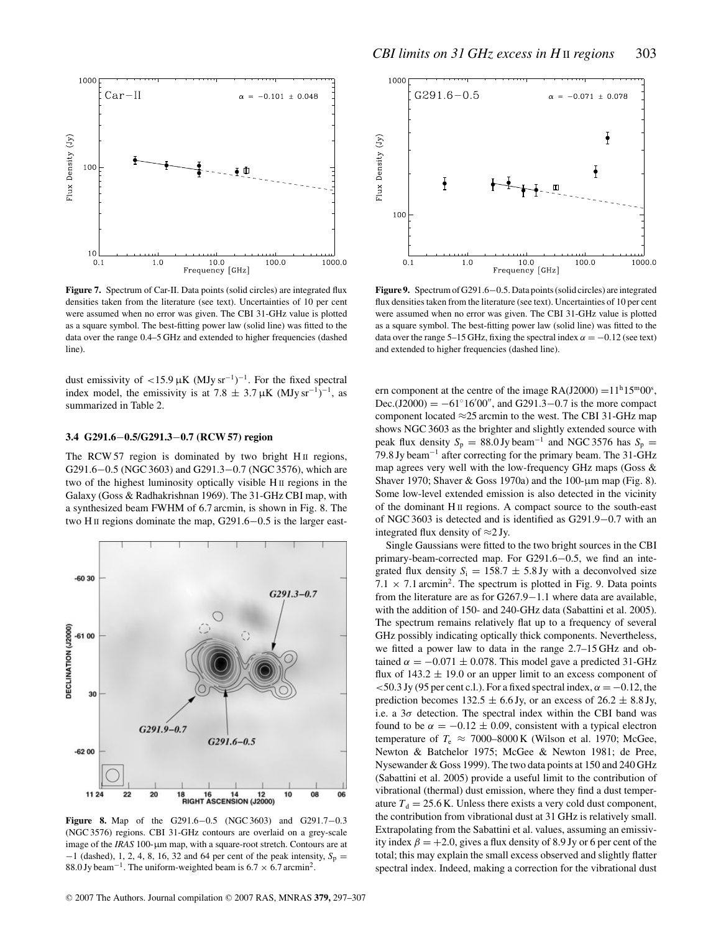

Figure 7. Spectrum of Car-II. Data points (solid circles) are integrated flux densities taken from the literature (see text). Uncertainties of 10 per cent were assumed when no error was given. The CBI 31-GHz value is plotted as a square symbol. The best-fitting power law (solid line) was fitted to the data over the range 0.4–5 GHz and extended to higher frequencies (dashed line).

dust emissivity of  $\lt 15.9 \mu K$  (MJy sr<sup>-1</sup>)<sup>-1</sup>. For the fixed spectral index model, the emissivity is at 7.8  $\pm$  3.7 µK (MJy sr<sup>-1</sup>)<sup>-1</sup>, as summarized in Table 2.

# **3.4 G291.6**−**0.5/G291.3**−**0.7 (RCW 57) region**

The RCW 57 region is dominated by two bright H<sub>II</sub> regions, G291.6−0.5 (NGC 3603) and G291.3−0.7 (NGC 3576), which are two of the highest luminosity optically visible H II regions in the Galaxy (Goss & Radhakrishnan 1969). The 31-GHz CBI map, with a synthesized beam FWHM of 6.7 arcmin, is shown in Fig. 8. The two H II regions dominate the map, G291.6−0.5 is the larger east-



**Figure 8.** Map of the G291.6−0.5 (NGC 3603) and G291.7−0.3 (NGC 3576) regions. CBI 31-GHz contours are overlaid on a grey-scale image of the *IRAS* 100-μm map, with a square-root stretch. Contours are at  $-1$  (dashed), 1, 2, 4, 8, 16, 32 and 64 per cent of the peak intensity,  $S_p =$ 88.0 Jy beam<sup>-1</sup>. The uniform-weighted beam is  $6.7 \times 6.7$  arcmin<sup>2</sup>.



**Figure 9.** Spectrum of G291.6−0.5. Data points (solid circles) are integrated flux densities taken from the literature (see text). Uncertainties of 10 per cent were assumed when no error was given. The CBI 31-GHz value is plotted as a square symbol. The best-fitting power law (solid line) was fitted to the data over the range 5–15 GHz, fixing the spectral index  $\alpha = -0.12$  (see text) and extended to higher frequencies (dashed line).

ern component at the centre of the image  $RA(J2000) = 11<sup>h</sup>15<sup>m</sup>00<sup>s</sup>$ , Dec.(J2000) =  $-61^{\circ}16'00''$ , and G291.3–0.7 is the more compact component located  $\approx$ 25 arcmin to the west. The CBI 31-GHz map shows NGC 3603 as the brighter and slightly extended source with peak flux density  $S_p = 88.0$  Jy beam<sup>-1</sup> and NGC 3576 has  $S_p =$ 79.8 Jy beam−<sup>1</sup> after correcting for the primary beam. The 31-GHz map agrees very well with the low-frequency GHz maps (Goss & Shaver 1970; Shaver & Goss 1970a) and the 100-μm map (Fig. 8). Some low-level extended emission is also detected in the vicinity of the dominant H II regions. A compact source to the south-east of NGC 3603 is detected and is identified as G291.9−0.7 with an integrated flux density of  $\approx$ 2 Jy.

Single Gaussians were fitted to the two bright sources in the CBI primary-beam-corrected map. For G291.6−0.5, we find an integrated flux density  $S_i = 158.7 \pm 5.8$  Jy with a deconvolved size 7.1  $\times$  7.1 arcmin<sup>2</sup>. The spectrum is plotted in Fig. 9. Data points from the literature are as for G267.9−1.1 where data are available, with the addition of 150- and 240-GHz data (Sabattini et al. 2005). The spectrum remains relatively flat up to a frequency of several GHz possibly indicating optically thick components. Nevertheless, we fitted a power law to data in the range 2.7–15 GHz and obtained  $\alpha = -0.071 \pm 0.078$ . This model gave a predicted 31-GHz flux of  $143.2 \pm 19.0$  or an upper limit to an excess component of  $<$  50.3 Jy (95 per cent c.l.). For a fixed spectral index,  $\alpha = -0.12$ , the prediction becomes  $132.5 \pm 6.6$  Jy, or an excess of  $26.2 \pm 8.8$  Jy, i.e. a  $3\sigma$  detection. The spectral index within the CBI band was found to be  $\alpha = -0.12 \pm 0.09$ , consistent with a typical electron temperature of  $T_e \approx 7000-8000$  K (Wilson et al. 1970; McGee, Newton & Batchelor 1975; McGee & Newton 1981; de Pree, Nysewander & Goss 1999). The two data points at 150 and 240 GHz (Sabattini et al. 2005) provide a useful limit to the contribution of vibrational (thermal) dust emission, where they find a dust temperature  $T_d = 25.6$  K. Unless there exists a very cold dust component, the contribution from vibrational dust at 31 GHz is relatively small. Extrapolating from the Sabattini et al. values, assuming an emissivity index  $\beta = +2.0$ , gives a flux density of 8.9 Jy or 6 per cent of the total; this may explain the small excess observed and slightly flatter spectral index. Indeed, making a correction for the vibrational dust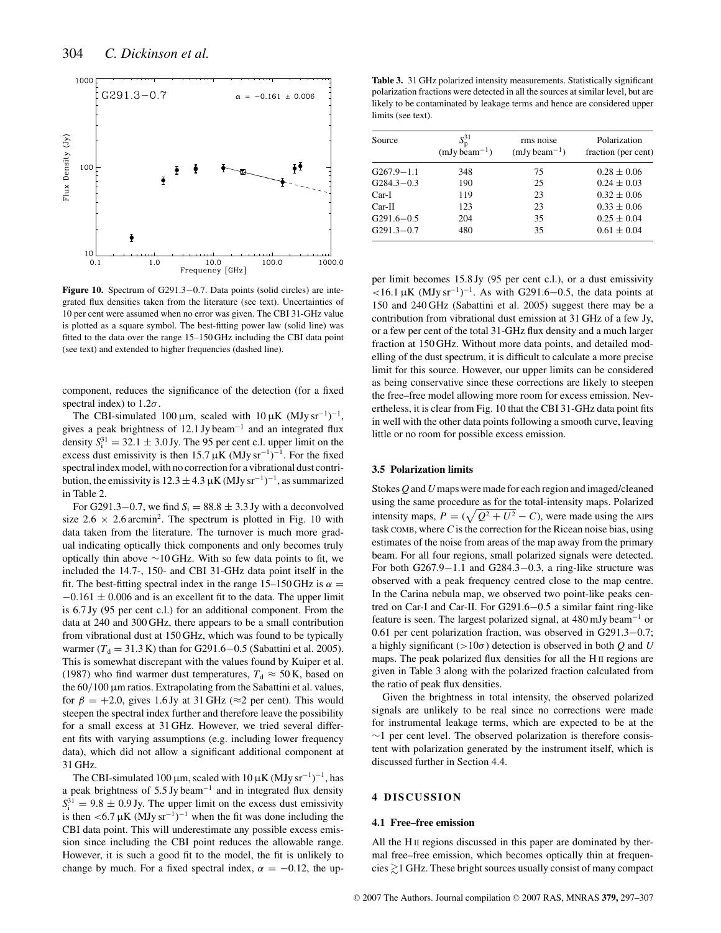

**Figure 10.** Spectrum of G291.3−0.7. Data points (solid circles) are integrated flux densities taken from the literature (see text). Uncertainties of 10 per cent were assumed when no error was given. The CBI 31-GHz value is plotted as a square symbol. The best-fitting power law (solid line) was fitted to the data over the range 15–150 GHz including the CBI data point (see text) and extended to higher frequencies (dashed line).

component, reduces the significance of the detection (for a fixed spectral index) to  $1.2\sigma$ .

The CBI-simulated 100  $\mu$ m, scaled with 10  $\mu$ K (MJy sr<sup>-1</sup>)<sup>-1</sup>, gives a peak brightness of 12.1 Jy beam−<sup>1</sup> and an integrated flux density  $S_i^{31} = 32.1 \pm 3.0 \text{ Jy}$ . The 95 per cent c.l. upper limit on the excess dust emissivity is then 15.7  $\mu$ K (MJy sr<sup>-1</sup>)<sup>-1</sup>. For the fixed spectral index model, with no correction for a vibrational dust contribution, the emissivity is  $12.3 \pm 4.3 \,\mu\text{K}$  (MJy sr<sup>-1</sup>)<sup>-1</sup>, as summarized in Table 2.

For G291.3–0.7, we find  $S_i = 88.8 \pm 3.3$  Jy with a deconvolved size 2.6  $\times$  2.6 arcmin<sup>2</sup>. The spectrum is plotted in Fig. 10 with data taken from the literature. The turnover is much more gradual indicating optically thick components and only becomes truly optically thin above  $\sim$ 10 GHz. With so few data points to fit, we included the 14.7-, 150- and CBI 31-GHz data point itself in the fit. The best-fitting spectral index in the range 15–150 GHz is  $\alpha =$  $-0.161 \pm 0.006$  and is an excellent fit to the data. The upper limit is 6.7 Jy (95 per cent c.l.) for an additional component. From the data at 240 and 300 GHz, there appears to be a small contribution from vibrational dust at 150 GHz, which was found to be typically warmer ( $T_d = 31.3 \text{ K}$ ) than for G291.6−0.5 (Sabattini et al. 2005). This is somewhat discrepant with the values found by Kuiper et al. (1987) who find warmer dust temperatures,  $T_d \approx 50$  K, based on the 60/100 μm ratios. Extrapolating from the Sabattini et al. values, for  $\beta = +2.0$ , gives 1.6 Jy at 31 GHz ( $\approx$ 2 per cent). This would steepen the spectral index further and therefore leave the possibility for a small excess at 31 GHz. However, we tried several different fits with varying assumptions (e.g. including lower frequency data), which did not allow a significant additional component at 31 GHz.

The CBI-simulated 100  $\mu$ m, scaled with 10  $\mu$ K (MJy sr<sup>-1</sup>)<sup>-1</sup>, has a peak brightness of 5.5 Jy beam−<sup>1</sup> and in integrated flux density  $S_i^{31} = 9.8 \pm 0.9$  Jy. The upper limit on the excess dust emissivity is then <6.7  $\mu$ K (MJy sr<sup>-1</sup>)<sup>-1</sup> when the fit was done including the CBI data point. This will underestimate any possible excess emission since including the CBI point reduces the allowable range. However, it is such a good fit to the model, the fit is unlikely to change by much. For a fixed spectral index,  $\alpha = -0.12$ , the up-

**Table 3.** 31 GHz polarized intensity measurements. Statistically significant polarization fractions were detected in all the sources at similar level, but are likely to be contaminated by leakage terms and hence are considered upper limits (see text).

| Source         | $S_{\rm D}^{31}$<br>$(mJy beam^{-1})$ | rms noise<br>$(mJy beam^{-1})$ | Polarization<br>fraction (per cent) |
|----------------|---------------------------------------|--------------------------------|-------------------------------------|
| $G267.9 - 1.1$ | 348                                   | 75                             | $0.28 \pm 0.06$                     |
| $G284.3 - 0.3$ | 190                                   | 25                             | $0.24 \pm 0.03$                     |
| $Car-I$        | 119                                   | 23                             | $0.32 \pm 0.06$                     |
| $Car-II$       | 123                                   | 23                             | $0.33 \pm 0.06$                     |
| $G291.6 - 0.5$ | 204                                   | 35                             | $0.25 \pm 0.04$                     |
| $G291.3 - 0.7$ | 480                                   | 35                             | $0.61 \pm 0.04$                     |

per limit becomes 15.8 Jy (95 per cent c.l.), or a dust emissivity  $16.1 \mu K$  (MJy sr<sup>-1</sup>)<sup>-1</sup>. As with G291.6–0.5, the data points at 150 and 240 GHz (Sabattini et al. 2005) suggest there may be a contribution from vibrational dust emission at 31 GHz of a few Jy, or a few per cent of the total 31-GHz flux density and a much larger fraction at 150 GHz. Without more data points, and detailed modelling of the dust spectrum, it is difficult to calculate a more precise limit for this source. However, our upper limits can be considered as being conservative since these corrections are likely to steepen the free–free model allowing more room for excess emission. Nevertheless, it is clear from Fig. 10 that the CBI 31-GHz data point fits in well with the other data points following a smooth curve, leaving little or no room for possible excess emission.

## **3.5 Polarization limits**

Stokes *Q* and *U*maps were made for each region and imaged/cleaned using the same procedure as for the total-intensity maps. Polarized intensity maps,  $P = (\sqrt{Q^2 + U^2} - C)$ , were made using the AIPS task COMB, where *C* is the correction for the Ricean noise bias, using estimates of the noise from areas of the map away from the primary beam. For all four regions, small polarized signals were detected. For both G267.9−1.1 and G284.3−0.3, a ring-like structure was observed with a peak frequency centred close to the map centre. In the Carina nebula map, we observed two point-like peaks centred on Car-I and Car-II. For G291.6−0.5 a similar faint ring-like feature is seen. The largest polarized signal, at 480 mJy beam−<sup>1</sup> or 0.61 per cent polarization fraction, was observed in G291.3−0.7; a highly significant (>10σ) detection is observed in both *Q* and *U* maps. The peak polarized flux densities for all the H II regions are given in Table 3 along with the polarized fraction calculated from the ratio of peak flux densities.

Given the brightness in total intensity, the observed polarized signals are unlikely to be real since no corrections were made for instrumental leakage terms, which are expected to be at the ∼1 per cent level. The observed polarization is therefore consistent with polarization generated by the instrument itself, which is discussed further in Section 4.4.

## **4 DISCUSSION**

#### **4.1 Free–free emission**

All the H<sub>II</sub> regions discussed in this paper are dominated by thermal free–free emission, which becomes optically thin at frequencies  $\gtrsim$  1 GHz. These bright sources usually consist of many compact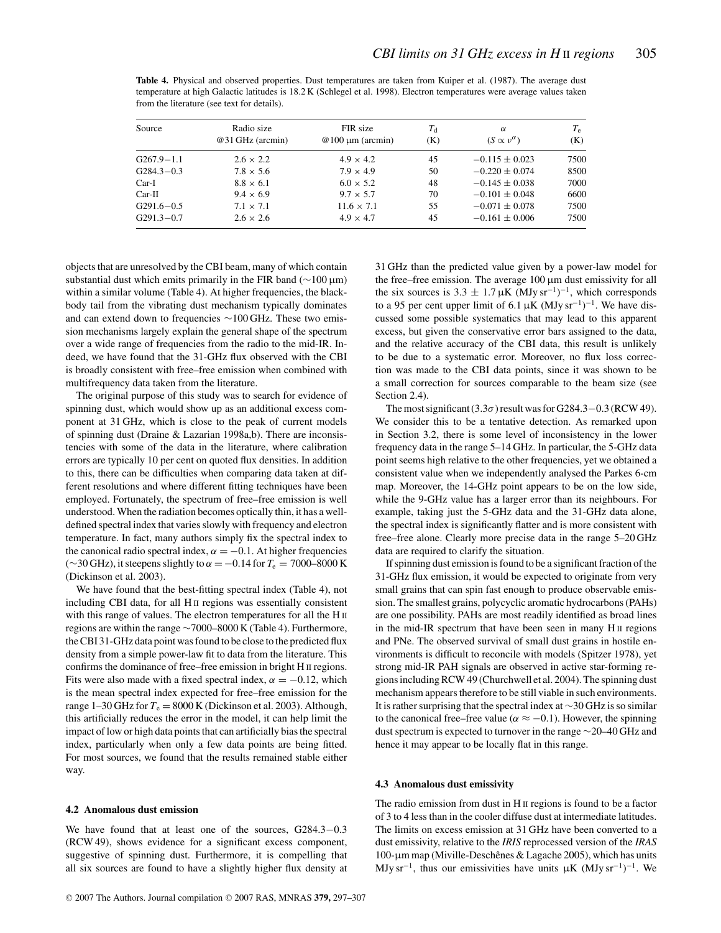**Table 4.** Physical and observed properties. Dust temperatures are taken from Kuiper et al. (1987). The average dust temperature at high Galactic latitudes is 18.2 K (Schlegel et al. 1998). Electron temperatures were average values taken from the literature (see text for details).

| Source         | Radio size<br>@31 GHz (arcmin) | FIR size<br>$@100 \mu m (arcmin)$ | $T_{\rm d}$<br>(K) | $\alpha$<br>$(S \propto v^{\alpha})$ | $T_{\rm e}$<br>(K) |
|----------------|--------------------------------|-----------------------------------|--------------------|--------------------------------------|--------------------|
| G267.9-1.1     | $2.6 \times 2.2$               | $4.9 \times 4.2$                  | 45                 | $-0.115 \pm 0.023$                   | 7500               |
| $G284.3 - 0.3$ | $7.8 \times 5.6$               | $7.9 \times 4.9$                  | 50                 | $-0.220 \pm 0.074$                   | 8500               |
| Car-I          | $8.8 \times 6.1$               | $6.0 \times 5.2$                  | 48                 | $-0.145 \pm 0.038$                   | 7000               |
| $Car-II$       | $9.4 \times 6.9$               | $9.7 \times 5.7$                  | 70                 | $-0.101 \pm 0.048$                   | 6600               |
| $G291.6 - 0.5$ | $7.1 \times 7.1$               | $11.6 \times 7.1$                 | 55                 | $-0.071 \pm 0.078$                   | 7500               |
| $G291.3 - 0.7$ | $2.6 \times 2.6$               | $4.9 \times 4.7$                  | 45                 | $-0.161 \pm 0.006$                   | 7500               |

objects that are unresolved by the CBI beam, many of which contain substantial dust which emits primarily in the FIR band (∼100 μm) within a similar volume (Table 4). At higher frequencies, the blackbody tail from the vibrating dust mechanism typically dominates and can extend down to frequencies ∼100 GHz. These two emission mechanisms largely explain the general shape of the spectrum over a wide range of frequencies from the radio to the mid-IR. Indeed, we have found that the 31-GHz flux observed with the CBI is broadly consistent with free–free emission when combined with multifrequency data taken from the literature.

The original purpose of this study was to search for evidence of spinning dust, which would show up as an additional excess component at 31 GHz, which is close to the peak of current models of spinning dust (Draine & Lazarian 1998a,b). There are inconsistencies with some of the data in the literature, where calibration errors are typically 10 per cent on quoted flux densities. In addition to this, there can be difficulties when comparing data taken at different resolutions and where different fitting techniques have been employed. Fortunately, the spectrum of free–free emission is well understood. When the radiation becomes optically thin, it has a welldefined spectral index that varies slowly with frequency and electron temperature. In fact, many authors simply fix the spectral index to the canonical radio spectral index,  $\alpha = -0.1$ . At higher frequencies (∼30 GHz), it steepens slightly to α =−0.14 for *T*<sup>e</sup> = 7000–8000 K (Dickinson et al. 2003).

We have found that the best-fitting spectral index (Table 4), not including CBI data, for all H<sub>II</sub> regions was essentially consistent with this range of values. The electron temperatures for all the H II regions are within the range ∼7000–8000 K (Table 4). Furthermore, the CBI 31-GHz data point was found to be close to the predicted flux density from a simple power-law fit to data from the literature. This confirms the dominance of free–free emission in bright H II regions. Fits were also made with a fixed spectral index,  $\alpha = -0.12$ , which is the mean spectral index expected for free–free emission for the range 1–30 GHz for  $T_e = 8000$  K (Dickinson et al. 2003). Although, this artificially reduces the error in the model, it can help limit the impact of low or high data points that can artificially bias the spectral index, particularly when only a few data points are being fitted. For most sources, we found that the results remained stable either way.

## **4.2 Anomalous dust emission**

We have found that at least one of the sources, G284.3−0.3 (RCW 49), shows evidence for a significant excess component, suggestive of spinning dust. Furthermore, it is compelling that all six sources are found to have a slightly higher flux density at 31 GHz than the predicted value given by a power-law model for the free–free emission. The average 100 μm dust emissivity for all the six sources is 3.3  $\pm$  1.7  $\mu$ K (MJy sr<sup>-1</sup>)<sup>-1</sup>, which corresponds to a 95 per cent upper limit of 6.1  $\mu$ K (MJy sr<sup>-1</sup>)<sup>-1</sup>. We have discussed some possible systematics that may lead to this apparent excess, but given the conservative error bars assigned to the data, and the relative accuracy of the CBI data, this result is unlikely to be due to a systematic error. Moreover, no flux loss correction was made to the CBI data points, since it was shown to be a small correction for sources comparable to the beam size (see Section 2.4).

The most significant  $(3.3\sigma)$  result was for G284.3–0.3 (RCW 49). We consider this to be a tentative detection. As remarked upon in Section 3.2, there is some level of inconsistency in the lower frequency data in the range 5–14 GHz. In particular, the 5-GHz data point seems high relative to the other frequencies, yet we obtained a consistent value when we independently analysed the Parkes 6-cm map. Moreover, the 14-GHz point appears to be on the low side, while the 9-GHz value has a larger error than its neighbours. For example, taking just the 5-GHz data and the 31-GHz data alone, the spectral index is significantly flatter and is more consistent with free–free alone. Clearly more precise data in the range 5–20 GHz data are required to clarify the situation.

If spinning dust emission is found to be a significant fraction of the 31-GHz flux emission, it would be expected to originate from very small grains that can spin fast enough to produce observable emission. The smallest grains, polycyclic aromatic hydrocarbons (PAHs) are one possibility. PAHs are most readily identified as broad lines in the mid-IR spectrum that have been seen in many H II regions and PNe. The observed survival of small dust grains in hostile environments is difficult to reconcile with models (Spitzer 1978), yet strong mid-IR PAH signals are observed in active star-forming regions including RCW 49 (Churchwell et al. 2004). The spinning dust mechanism appears therefore to be still viable in such environments. It is rather surprising that the spectral index at ∼30 GHz is so similar to the canonical free–free value ( $\alpha \approx -0.1$ ). However, the spinning dust spectrum is expected to turnover in the range ∼20–40 GHz and hence it may appear to be locally flat in this range.

## **4.3 Anomalous dust emissivity**

The radio emission from dust in H II regions is found to be a factor of 3 to 4 less than in the cooler diffuse dust at intermediate latitudes. The limits on excess emission at 31 GHz have been converted to a dust emissivity, relative to the *IRIS* reprocessed version of the *IRAS* 100-μm map (Miville-Deschênes & Lagache 2005), which has units MJy sr<sup>-1</sup>, thus our emissivities have units  $\mu$ K (MJy sr<sup>-1</sup>)<sup>-1</sup>. We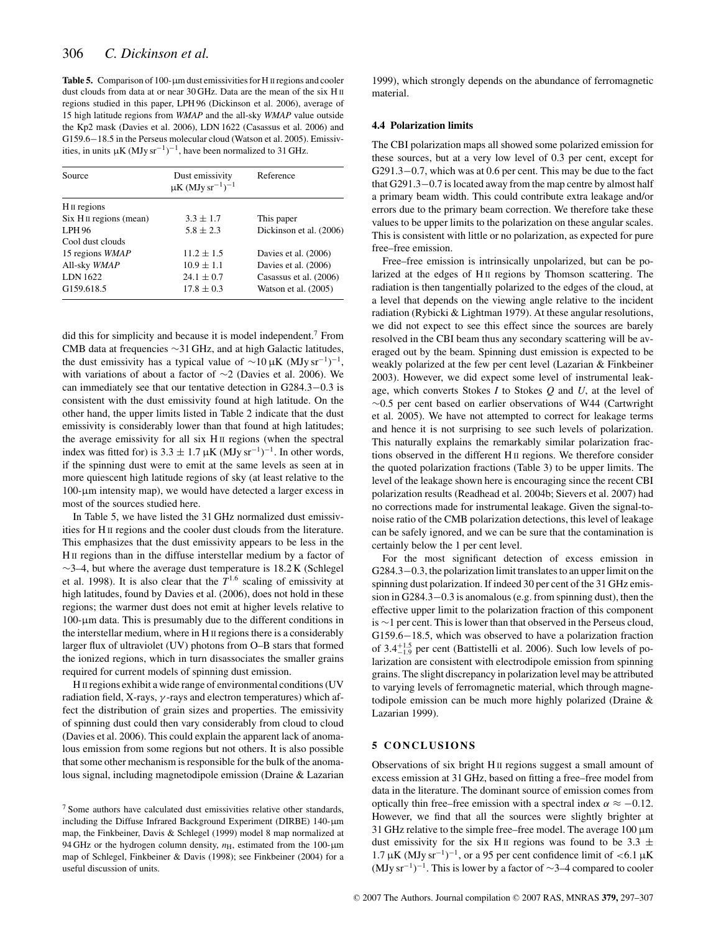**Table 5.** Comparison of 100-μm dust emissivities for H II regions and cooler dust clouds from data at or near 30 GHz. Data are the mean of the six H II regions studied in this paper, LPH 96 (Dickinson et al. 2006), average of 15 high latitude regions from *WMAP* and the all-sky *WMAP* value outside the Kp2 mask (Davies et al. 2006), LDN 1622 (Casassus et al. 2006) and G159.6−18.5 in the Perseus molecular cloud (Watson et al. 2005). Emissivities, in units  $\mu$ K (MJy sr<sup>-1</sup>)<sup>-1</sup>, have been normalized to 31 GHz.

| Source                  | Dust emissivity<br>$\mu$ K (MJy sr <sup>-1</sup> ) <sup>-1</sup> | Reference               |  |
|-------------------------|------------------------------------------------------------------|-------------------------|--|
| H <sub>II</sub> regions |                                                                  |                         |  |
| Six H II regions (mean) | $3.3 \pm 1.7$                                                    | This paper              |  |
| LPH <sub>96</sub>       | $5.8 \pm 2.3$                                                    | Dickinson et al. (2006) |  |
| Cool dust clouds        |                                                                  |                         |  |
| 15 regions WMAP         | $11.2 \pm 1.5$                                                   | Davies et al. (2006)    |  |
| All-sky WMAP            | $10.9 \pm 1.1$                                                   | Davies et al. (2006)    |  |
| LDN 1622                | $24.1 \pm 0.7$                                                   | Casassus et al. (2006)  |  |
| G159.618.5              | $17.8 \pm 0.3$                                                   | Watson et al. $(2005)$  |  |

did this for simplicity and because it is model independent.<sup>7</sup> From CMB data at frequencies ∼31 GHz, and at high Galactic latitudes, the dust emissivity has a typical value of  $\sim$ 10 µK (MJy sr<sup>-1</sup>)<sup>-1</sup>, with variations of about a factor of ∼2 (Davies et al. 2006). We can immediately see that our tentative detection in G284.3−0.3 is consistent with the dust emissivity found at high latitude. On the other hand, the upper limits listed in Table 2 indicate that the dust emissivity is considerably lower than that found at high latitudes; the average emissivity for all six H II regions (when the spectral index was fitted for) is  $3.3 \pm 1.7 \,\mu\text{K}$  (MJy sr<sup>-1</sup>)<sup>-1</sup>. In other words, if the spinning dust were to emit at the same levels as seen at in more quiescent high latitude regions of sky (at least relative to the 100-μm intensity map), we would have detected a larger excess in most of the sources studied here.

In Table 5, we have listed the 31 GHz normalized dust emissivities for H II regions and the cooler dust clouds from the literature. This emphasizes that the dust emissivity appears to be less in the H II regions than in the diffuse interstellar medium by a factor of  $\sim$ 3–4, but where the average dust temperature is 18.2 K (Schlegel et al. 1998). It is also clear that the  $T^{1.6}$  scaling of emissivity at high latitudes, found by Davies et al. (2006), does not hold in these regions; the warmer dust does not emit at higher levels relative to 100-μm data. This is presumably due to the different conditions in the interstellar medium, where in H II regions there is a considerably larger flux of ultraviolet (UV) photons from O–B stars that formed the ionized regions, which in turn disassociates the smaller grains required for current models of spinning dust emission.

H II regions exhibit a wide range of environmental conditions (UV radiation field, X-rays,  $\gamma$ -rays and electron temperatures) which affect the distribution of grain sizes and properties. The emissivity of spinning dust could then vary considerably from cloud to cloud (Davies et al. 2006). This could explain the apparent lack of anomalous emission from some regions but not others. It is also possible that some other mechanism is responsible for the bulk of the anomalous signal, including magnetodipole emission (Draine & Lazarian 1999), which strongly depends on the abundance of ferromagnetic material.

## **4.4 Polarization limits**

The CBI polarization maps all showed some polarized emission for these sources, but at a very low level of 0.3 per cent, except for G291.3−0.7, which was at 0.6 per cent. This may be due to the fact that G291.3−0.7 is located away from the map centre by almost half a primary beam width. This could contribute extra leakage and/or errors due to the primary beam correction. We therefore take these values to be upper limits to the polarization on these angular scales. This is consistent with little or no polarization, as expected for pure free–free emission.

Free–free emission is intrinsically unpolarized, but can be polarized at the edges of H<sub>II</sub> regions by Thomson scattering. The radiation is then tangentially polarized to the edges of the cloud, at a level that depends on the viewing angle relative to the incident radiation (Rybicki & Lightman 1979). At these angular resolutions, we did not expect to see this effect since the sources are barely resolved in the CBI beam thus any secondary scattering will be averaged out by the beam. Spinning dust emission is expected to be weakly polarized at the few per cent level (Lazarian & Finkbeiner 2003). However, we did expect some level of instrumental leakage, which converts Stokes *I* to Stokes *Q* and *U*, at the level of ∼0.5 per cent based on earlier observations of W44 (Cartwright et al. 2005). We have not attempted to correct for leakage terms and hence it is not surprising to see such levels of polarization. This naturally explains the remarkably similar polarization fractions observed in the different H II regions. We therefore consider the quoted polarization fractions (Table 3) to be upper limits. The level of the leakage shown here is encouraging since the recent CBI polarization results (Readhead et al. 2004b; Sievers et al. 2007) had no corrections made for instrumental leakage. Given the signal-tonoise ratio of the CMB polarization detections, this level of leakage can be safely ignored, and we can be sure that the contamination is certainly below the 1 per cent level.

For the most significant detection of excess emission in G284.3−0.3, the polarization limit translates to an upper limit on the spinning dust polarization. If indeed 30 per cent of the 31 GHz emission in G284.3−0.3 is anomalous (e.g. from spinning dust), then the effective upper limit to the polarization fraction of this component is ∼1 per cent. This is lower than that observed in the Perseus cloud, G159.6−18.5, which was observed to have a polarization fraction of  $3.4^{+1.5}_{-1.9}$  per cent (Battistelli et al. 2006). Such low levels of polarization are consistent with electrodipole emission from spinning grains. The slight discrepancy in polarization level may be attributed to varying levels of ferromagnetic material, which through magnetodipole emission can be much more highly polarized (Draine & Lazarian 1999).

## **5 CONCLUSIONS**

Observations of six bright H II regions suggest a small amount of excess emission at 31 GHz, based on fitting a free–free model from data in the literature. The dominant source of emission comes from optically thin free–free emission with a spectral index  $\alpha \approx -0.12$ . However, we find that all the sources were slightly brighter at 31 GHz relative to the simple free–free model. The average  $100 \,\mu m$ dust emissivity for the six H<sub>II</sub> regions was found to be 3.3  $\pm$ 1.7 μK (MJy sr<sup>-1</sup>)<sup>-1</sup>, or a 95 per cent confidence limit of <6.1 μK (MJy sr<sup>-1</sup>)<sup>-1</sup>. This is lower by a factor of ∼3–4 compared to cooler

 $7$  Some authors have calculated dust emissivities relative other standards, including the Diffuse Infrared Background Experiment (DIRBE) 140-μm map, the Finkbeiner, Davis & Schlegel (1999) model 8 map normalized at 94 GHz or the hydrogen column density,  $n_{\text{H}}$ , estimated from the 100- $\mu$ m map of Schlegel, Finkbeiner & Davis (1998); see Finkbeiner (2004) for a useful discussion of units.